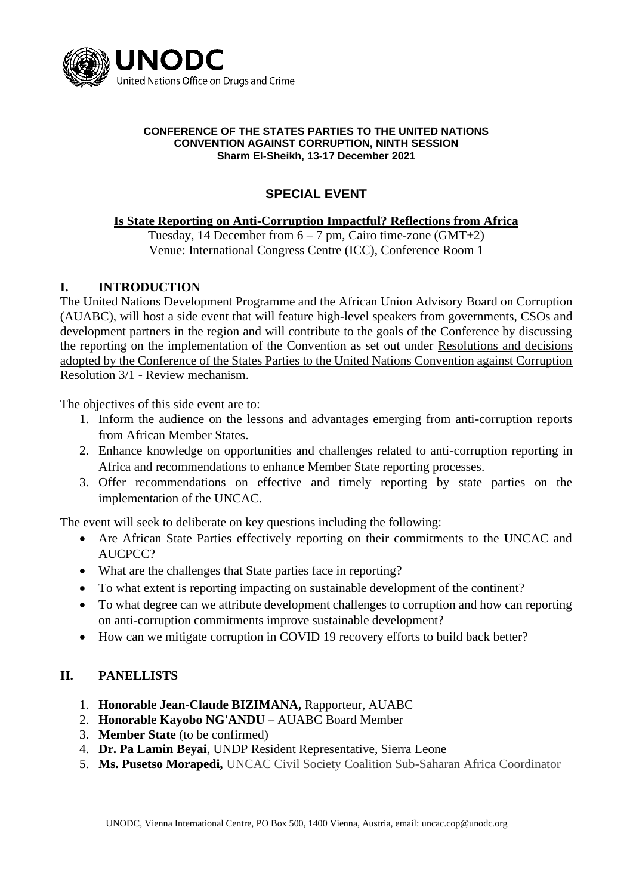

#### **CONFERENCE OF THE STATES PARTIES TO THE UNITED NATIONS CONVENTION AGAINST CORRUPTION, NINTH SESSION Sharm El-Sheikh, 13-17 December 2021**

# **SPECIAL EVENT**

### **Is State Reporting on Anti-Corruption Impactful? Reflections from Africa**

Tuesday, 14 December from  $6 - 7$  pm, Cairo time-zone (GMT+2) Venue: International Congress Centre (ICC), Conference Room 1

## **I. INTRODUCTION**

The United Nations Development Programme and the African Union Advisory Board on Corruption (AUABC), will host a side event that will feature high-level speakers from governments, CSOs and development partners in the region and will contribute to the goals of the Conference by discussing the reporting on the implementation of the Convention as set out under Resolutions and decisions adopted by the Conference of the States Parties to the United Nations Convention against Corruption Resolution 3/1 - Review mechanism.

The objectives of this side event are to:

- 1. Inform the audience on the lessons and advantages emerging from anti-corruption reports from African Member States.
- 2. Enhance knowledge on opportunities and challenges related to anti-corruption reporting in Africa and recommendations to enhance Member State reporting processes.
- 3. Offer recommendations on effective and timely reporting by state parties on the implementation of the UNCAC.

The event will seek to deliberate on key questions including the following:

- Are African State Parties effectively reporting on their commitments to the UNCAC and AUCPCC?
- What are the challenges that State parties face in reporting?
- To what extent is reporting impacting on sustainable development of the continent?
- To what degree can we attribute development challenges to corruption and how can reporting on anti-corruption commitments improve sustainable development?
- How can we mitigate corruption in COVID 19 recovery efforts to build back better?

### **II. PANELLISTS**

- 1. **Honorable Jean-Claude BIZIMANA,** Rapporteur, AUABC
- 2. **Honorable Kayobo NG'ANDU** AUABC Board Member
- 3. **Member State** (to be confirmed)
- 4. **Dr. Pa Lamin Beyai**, UNDP Resident Representative, Sierra Leone
- 5. **Ms. Pusetso Morapedi,** UNCAC Civil Society Coalition Sub-Saharan Africa Coordinator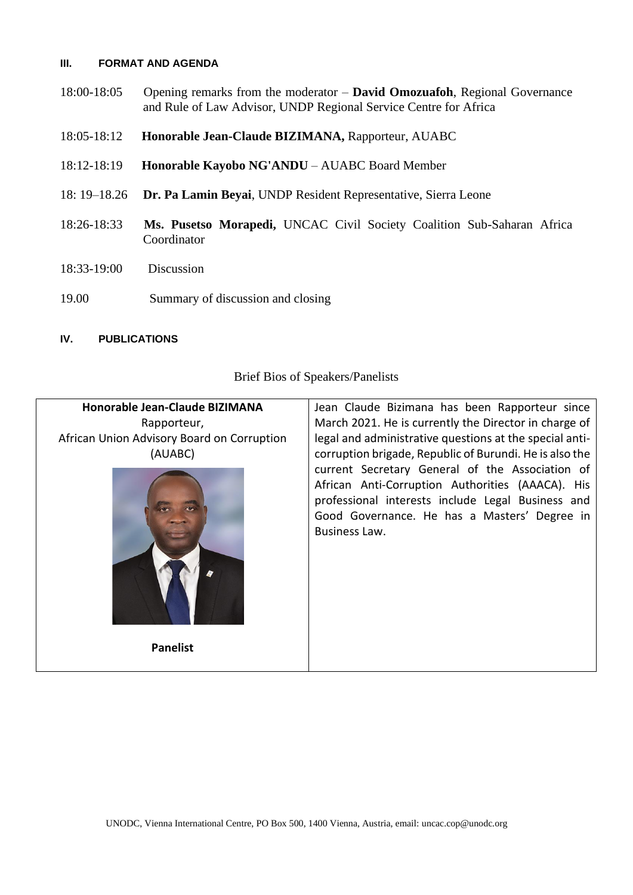#### **III. FORMAT AND AGENDA**

- 18:00-18:05 Opening remarks from the moderator **David Omozuafoh**, Regional Governance and Rule of Law Advisor, UNDP Regional Service Centre for Africa
- 18:05-18:12 **Honorable Jean-Claude BIZIMANA,** Rapporteur, AUABC
- 18:12-18:19 **Honorable Kayobo NG'ANDU** AUABC Board Member
- 18: 19–18.26 **Dr. Pa Lamin Beyai**, UNDP Resident Representative, Sierra Leone
- 18:26-18:33 **Ms. Pusetso Morapedi,** UNCAC Civil Society Coalition Sub-Saharan Africa Coordinator
- 18:33-19:00 Discussion
- 19.00 Summary of discussion and closing

#### **IV. PUBLICATIONS**

Brief Bios of Speakers/Panelists

| Honorable Jean-Claude BIZIMANA<br>Rapporteur,<br>African Union Advisory Board on Corruption<br>(AUABC) | Jean Claude Bizimana has been Rapporteur since<br>March 2021. He is currently the Director in charge of<br>legal and administrative questions at the special anti-<br>corruption brigade, Republic of Burundi. He is also the |
|--------------------------------------------------------------------------------------------------------|-------------------------------------------------------------------------------------------------------------------------------------------------------------------------------------------------------------------------------|
| <b>Panelist</b>                                                                                        | current Secretary General of the Association of<br>African Anti-Corruption Authorities (AAACA). His<br>professional interests include Legal Business and<br>Good Governance. He has a Masters' Degree in<br>Business Law.     |
|                                                                                                        |                                                                                                                                                                                                                               |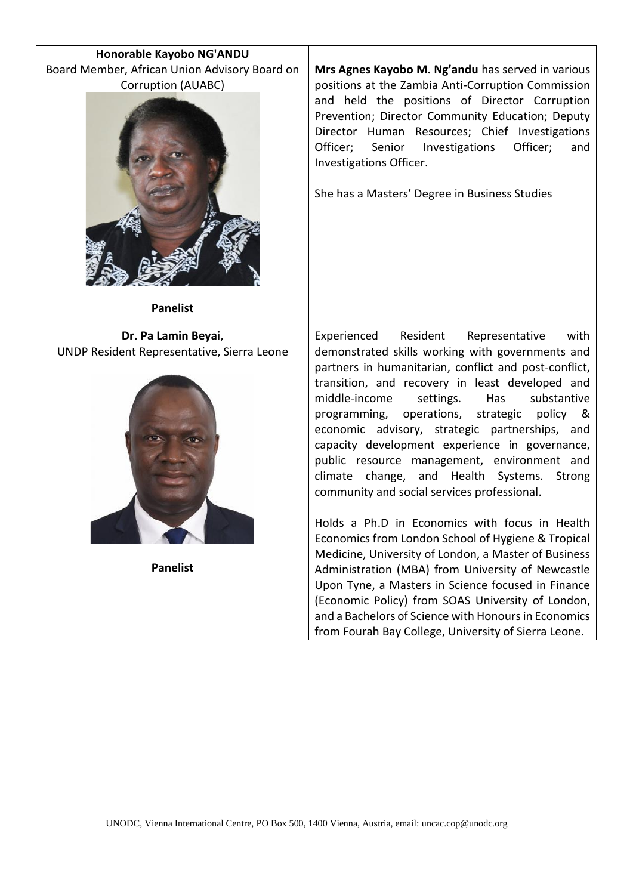| Honorable Kayobo NG'ANDU                                                               |                                                                                                                                                                                                                                                                                                                                                                                                                                                                                                                                                                                                                                     |
|----------------------------------------------------------------------------------------|-------------------------------------------------------------------------------------------------------------------------------------------------------------------------------------------------------------------------------------------------------------------------------------------------------------------------------------------------------------------------------------------------------------------------------------------------------------------------------------------------------------------------------------------------------------------------------------------------------------------------------------|
| Board Member, African Union Advisory Board on<br>Corruption (AUABC)<br><b>Panelist</b> | Mrs Agnes Kayobo M. Ng'andu has served in various<br>positions at the Zambia Anti-Corruption Commission<br>and held the positions of Director Corruption<br>Prevention; Director Community Education; Deputy<br>Director Human Resources; Chief Investigations<br>Officer;<br>Senior<br>Officer;<br>Investigations<br>and<br>Investigations Officer.<br>She has a Masters' Degree in Business Studies                                                                                                                                                                                                                               |
| Dr. Pa Lamin Beyai,                                                                    | Experienced<br>Resident<br>with<br>Representative                                                                                                                                                                                                                                                                                                                                                                                                                                                                                                                                                                                   |
| UNDP Resident Representative, Sierra Leone                                             | demonstrated skills working with governments and<br>partners in humanitarian, conflict and post-conflict,<br>transition, and recovery in least developed and<br>middle-income<br>settings.<br>Has<br>substantive<br>operations, strategic<br>programming,<br>policy<br>&<br>economic advisory, strategic partnerships, and<br>capacity development experience in governance,<br>public resource management, environment and<br>climate change, and Health Systems.<br>Strong<br>community and social services professional.<br>Holds a Ph.D in Economics with focus in Health<br>Economics from London School of Hygiene & Tropical |
|                                                                                        | Medicine, University of London, a Master of Business                                                                                                                                                                                                                                                                                                                                                                                                                                                                                                                                                                                |
| <b>Panelist</b>                                                                        | Administration (MBA) from University of Newcastle                                                                                                                                                                                                                                                                                                                                                                                                                                                                                                                                                                                   |
|                                                                                        | Upon Tyne, a Masters in Science focused in Finance                                                                                                                                                                                                                                                                                                                                                                                                                                                                                                                                                                                  |
|                                                                                        | (Economic Policy) from SOAS University of London,<br>and a Bachelors of Science with Honours in Economics                                                                                                                                                                                                                                                                                                                                                                                                                                                                                                                           |
|                                                                                        | from Fourah Bay College, University of Sierra Leone.                                                                                                                                                                                                                                                                                                                                                                                                                                                                                                                                                                                |
|                                                                                        |                                                                                                                                                                                                                                                                                                                                                                                                                                                                                                                                                                                                                                     |